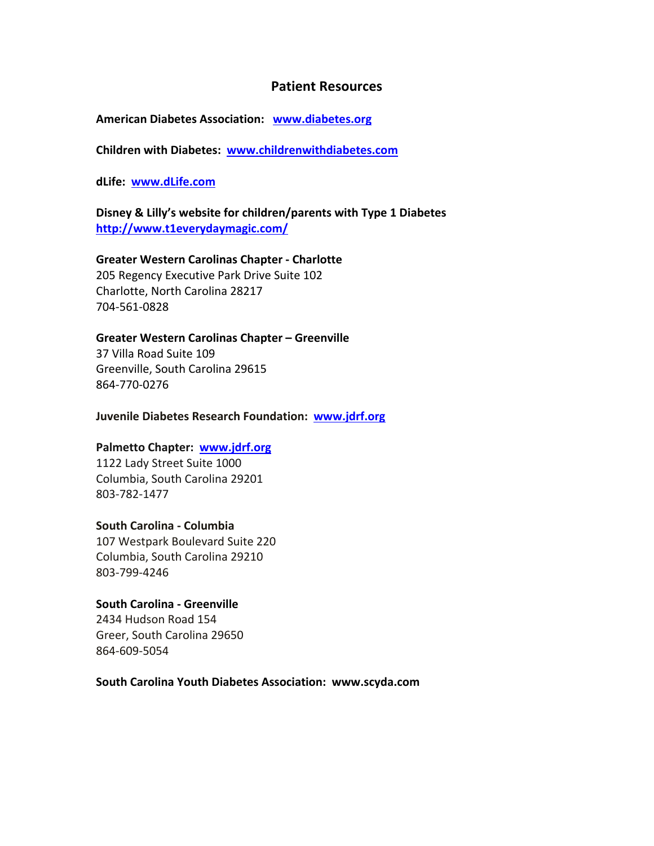### **Patient Resources**

#### **American Diabetes Association: [www.diabetes.org](http://www.diabetes.org/)**

**Children with Diabetes: [www.childrenwithdiabetes.com](http://www.childrenwithdiabetes.com/)**

**dLife: [www.dLife.com](http://www.dlife.com/)**

**Disney & Lilly's website for children/parents with Type 1 Diabetes <http://www.t1everydaymagic.com/>**

### **Greater Western Carolinas Chapter - Charlotte**

205 Regency Executive Park Drive Suite 102 Charlotte, North Carolina 28217 704-561-0828

#### **Greater Western Carolinas Chapter – Greenville**

37 Villa Road Suite 109 Greenville, South Carolina 29615 864-770-0276

**Juvenile Diabetes Research Foundation: [www.jdrf.org](http://www.jdrf.org/)**

#### **Palmetto Chapter: [www.jdrf.org](http://www.jdrf.org/)**

1122 Lady Street Suite 1000 Columbia, South Carolina 29201 803-782-1477

#### **South Carolina - Columbia**

107 Westpark Boulevard Suite 220 Columbia, South Carolina 29210 803-799-4246

#### **[South Carolina -](http://www.diabetes.org/in-my-community/local-offices/greenville-south-carolina/) Greenville**

2434 Hudson Road 154 Greer, South Carolina 29650 864-609-5054

#### **South Carolina Youth Diabetes Association: www.scyda.com**